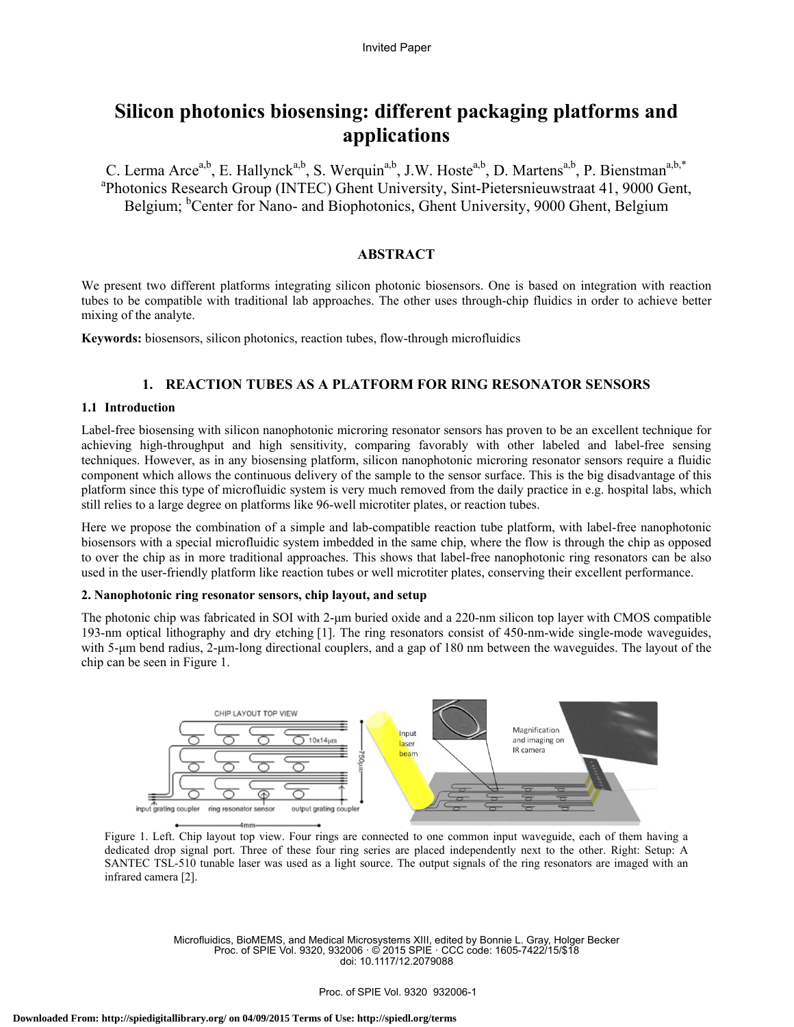# **Silicon photonics biosensing: different packaging platforms and applications**

C. Lerma Arce<sup>a,b</sup>, E. Hallynck<sup>a,b</sup>, S. Werquin<sup>a,b</sup>, J.W. Hoste<sup>a,b</sup>, D. Martens<sup>a,b</sup>, P. Bienstman<sup>a,b,\*</sup> Photonics Research Group (INTEC) Ghent University, Sint-Pietersnieuwstraat 41, 9000 Gent, Belgium; <sup>b</sup>Center for Nano- and Biophotonics, Ghent University, 9000 Ghent, Belgium

# **ABSTRACT**

We present two different platforms integrating silicon photonic biosensors. One is based on integration with reaction tubes to be compatible with traditional lab approaches. The other uses through-chip fluidics in order to achieve better mixing of the analyte.

**Keywords:** biosensors, silicon photonics, reaction tubes, flow-through microfluidics

# **1. REACTION TUBES AS A PLATFORM FOR RING RESONATOR SENSORS**

## **1.1 Introduction**

Label-free biosensing with silicon nanophotonic microring resonator sensors has proven to be an excellent technique for achieving high-throughput and high sensitivity, comparing favorably with other labeled and label-free sensing techniques. However, as in any biosensing platform, silicon nanophotonic microring resonator sensors require a fluidic component which allows the continuous delivery of the sample to the sensor surface. This is the big disadvantage of this platform since this type of microfluidic system is very much removed from the daily practice in e.g. hospital labs, which still relies to a large degree on platforms like 96-well microtiter plates, or reaction tubes.

Here we propose the combination of a simple and lab-compatible reaction tube platform, with label-free nanophotonic biosensors with a special microfluidic system imbedded in the same chip, where the flow is through the chip as opposed to over the chip as in more traditional approaches. This shows that label-free nanophotonic ring resonators can be also used in the user-friendly platform like reaction tubes or well microtiter plates, conserving their excellent performance.

## **2. Nanophotonic ring resonator sensors, chip layout, and setup**

The photonic chip was fabricated in SOI with 2-μm buried oxide and a 220-nm silicon top layer with CMOS compatible 193-nm optical lithography and dry etching [1]. The ring resonators consist of 450-nm-wide single-mode waveguides, with 5-μm bend radius, 2-μm-long directional couplers, and a gap of 180 nm between the waveguides. The layout of the chip can be seen in Figure 1.



Figure 1. Left. Chip layout top view. Four rings are connected to one common input waveguide, each of them having a dedicated drop signal port. Three of these four ring series are placed independently next to the other. Right: Setup: A SANTEC TSL-510 tunable laser was used as a light source. The output signals of the ring resonators are imaged with an infrared camera [2].

Microfluidics, BioMEMS, and Medical Microsystems XIII, edited by Bonnie L. Gray, Holger Becker Proc. of SPIE Vol. 9320, 932006 · © 2015 SPIE · CCC code: 1605-7422/15/\$18 doi: 10.1117/12.2079088

#### Proc. of SPIE Vol. 9320 932006-1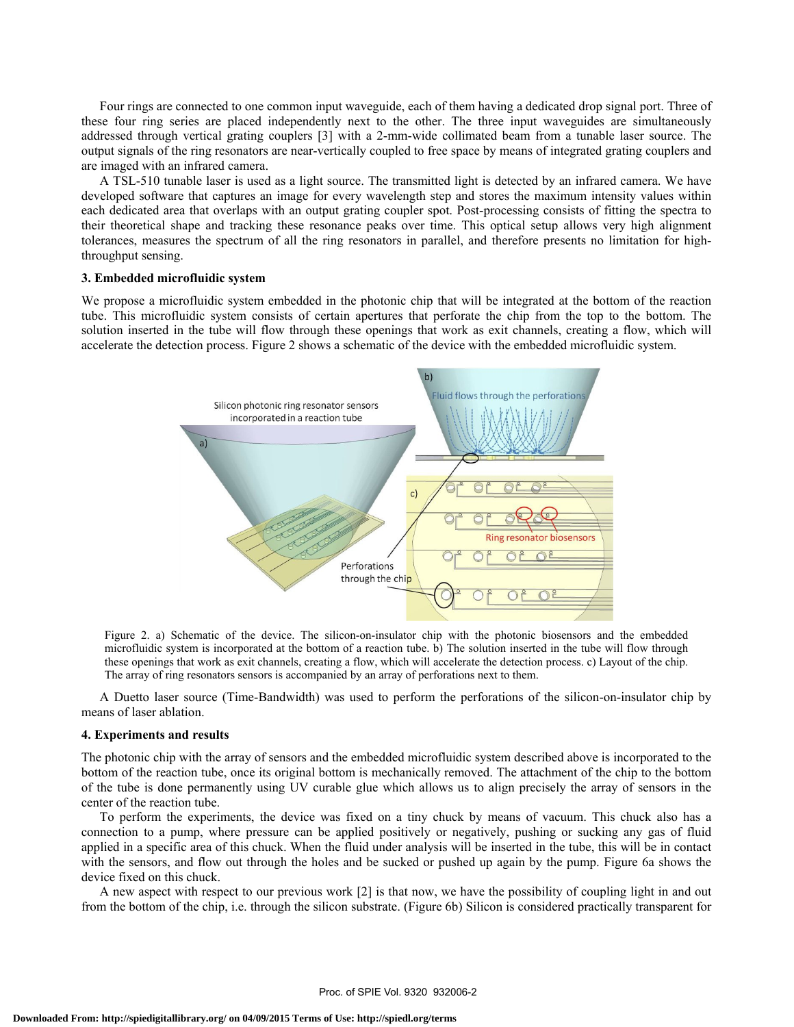Four rings are connected to one common input waveguide, each of them having a dedicated drop signal port. Three of these four ring series are placed independently next to the other. The three input waveguides are simultaneously addressed through vertical grating couplers [3] with a 2-mm-wide collimated beam from a tunable laser source. The output signals of the ring resonators are near-vertically coupled to free space by means of integrated grating couplers and are imaged with an infrared camera.

A TSL-510 tunable laser is used as a light source. The transmitted light is detected by an infrared camera. We have developed software that captures an image for every wavelength step and stores the maximum intensity values within each dedicated area that overlaps with an output grating coupler spot. Post-processing consists of fitting the spectra to their theoretical shape and tracking these resonance peaks over time. This optical setup allows very high alignment tolerances, measures the spectrum of all the ring resonators in parallel, and therefore presents no limitation for highthroughput sensing.

## **3. Embedded microfluidic system**

We propose a microfluidic system embedded in the photonic chip that will be integrated at the bottom of the reaction tube. This microfluidic system consists of certain apertures that perforate the chip from the top to the bottom. The solution inserted in the tube will flow through these openings that work as exit channels, creating a flow, which will accelerate the detection process. Figure 2 shows a schematic of the device with the embedded microfluidic system.



Figure 2. a) Schematic of the device. The silicon-on-insulator chip with the photonic biosensors and the embedded microfluidic system is incorporated at the bottom of a reaction tube. b) The solution inserted in the tube will flow through these openings that work as exit channels, creating a flow, which will accelerate the detection process. c) Layout of the chip. The array of ring resonators sensors is accompanied by an array of perforations next to them.

A Duetto laser source (Time-Bandwidth) was used to perform the perforations of the silicon-on-insulator chip by means of laser ablation.

#### **4. Experiments and results**

The photonic chip with the array of sensors and the embedded microfluidic system described above is incorporated to the bottom of the reaction tube, once its original bottom is mechanically removed. The attachment of the chip to the bottom of the tube is done permanently using UV curable glue which allows us to align precisely the array of sensors in the center of the reaction tube.

To perform the experiments, the device was fixed on a tiny chuck by means of vacuum. This chuck also has a connection to a pump, where pressure can be applied positively or negatively, pushing or sucking any gas of fluid applied in a specific area of this chuck. When the fluid under analysis will be inserted in the tube, this will be in contact with the sensors, and flow out through the holes and be sucked or pushed up again by the pump. Figure 6a shows the device fixed on this chuck.

A new aspect with respect to our previous work [2] is that now, we have the possibility of coupling light in and out from the bottom of the chip, i.e. through the silicon substrate. (Figure 6b) Silicon is considered practically transparent for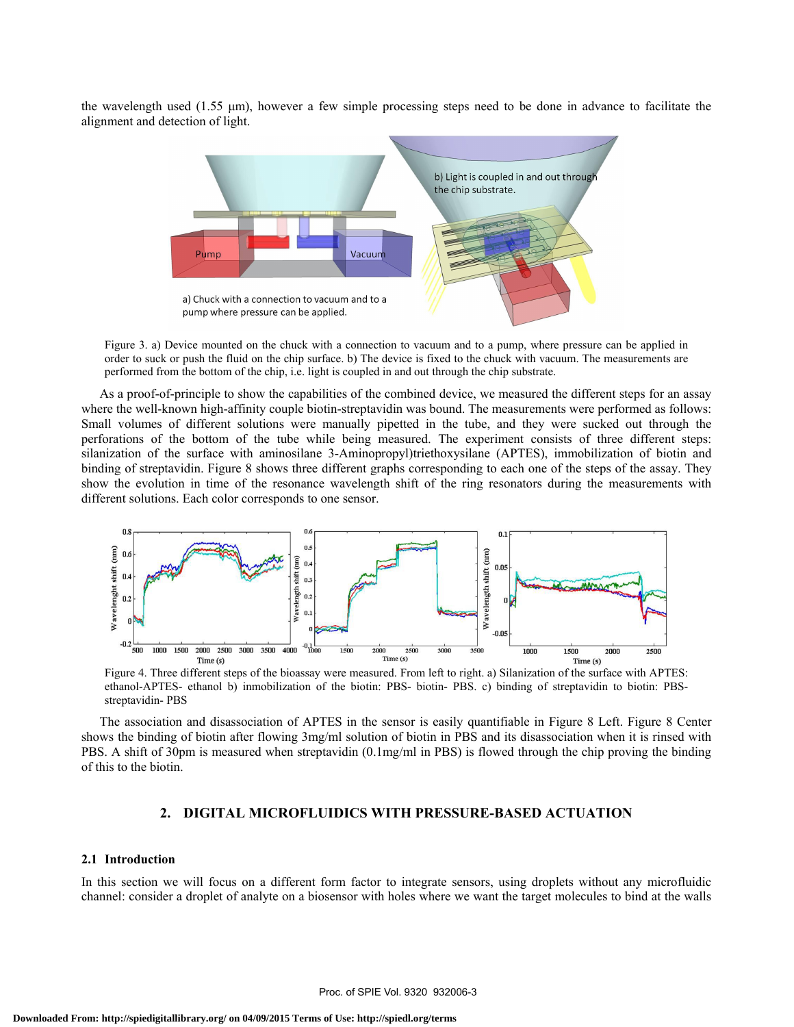the wavelength used (1.55 μm), however a few simple processing steps need to be done in advance to facilitate the alignment and detection of light.



Figure 3. a) Device mounted on the chuck with a connection to vacuum and to a pump, where pressure can be applied in order to suck or push the fluid on the chip surface. b) The device is fixed to the chuck with vacuum. The measurements are performed from the bottom of the chip, i.e. light is coupled in and out through the chip substrate.

As a proof-of-principle to show the capabilities of the combined device, we measured the different steps for an assay where the well-known high-affinity couple biotin-streptavidin was bound. The measurements were performed as follows: Small volumes of different solutions were manually pipetted in the tube, and they were sucked out through the perforations of the bottom of the tube while being measured. The experiment consists of three different steps: silanization of the surface with aminosilane 3-Aminopropyl)triethoxysilane (APTES), immobilization of biotin and binding of streptavidin. Figure 8 shows three different graphs corresponding to each one of the steps of the assay. They show the evolution in time of the resonance wavelength shift of the ring resonators during the measurements with different solutions. Each color corresponds to one sensor.



Figure 4. Three different steps of the bioassay were measured. From left to right. a) Silanization of the surface with APTES: ethanol-APTES- ethanol b) inmobilization of the biotin: PBS- biotin- PBS. c) binding of streptavidin to biotin: PBSstreptavidin- PBS

The association and disassociation of APTES in the sensor is easily quantifiable in Figure 8 Left. Figure 8 Center shows the binding of biotin after flowing 3mg/ml solution of biotin in PBS and its disassociation when it is rinsed with PBS. A shift of 30pm is measured when streptavidin (0.1mg/ml in PBS) is flowed through the chip proving the binding of this to the biotin.

# **2. DIGITAL MICROFLUIDICS WITH PRESSURE-BASED ACTUATION**

#### **2.1 Introduction**

In this section we will focus on a different form factor to integrate sensors, using droplets without any microfluidic channel: consider a droplet of analyte on a biosensor with holes where we want the target molecules to bind at the walls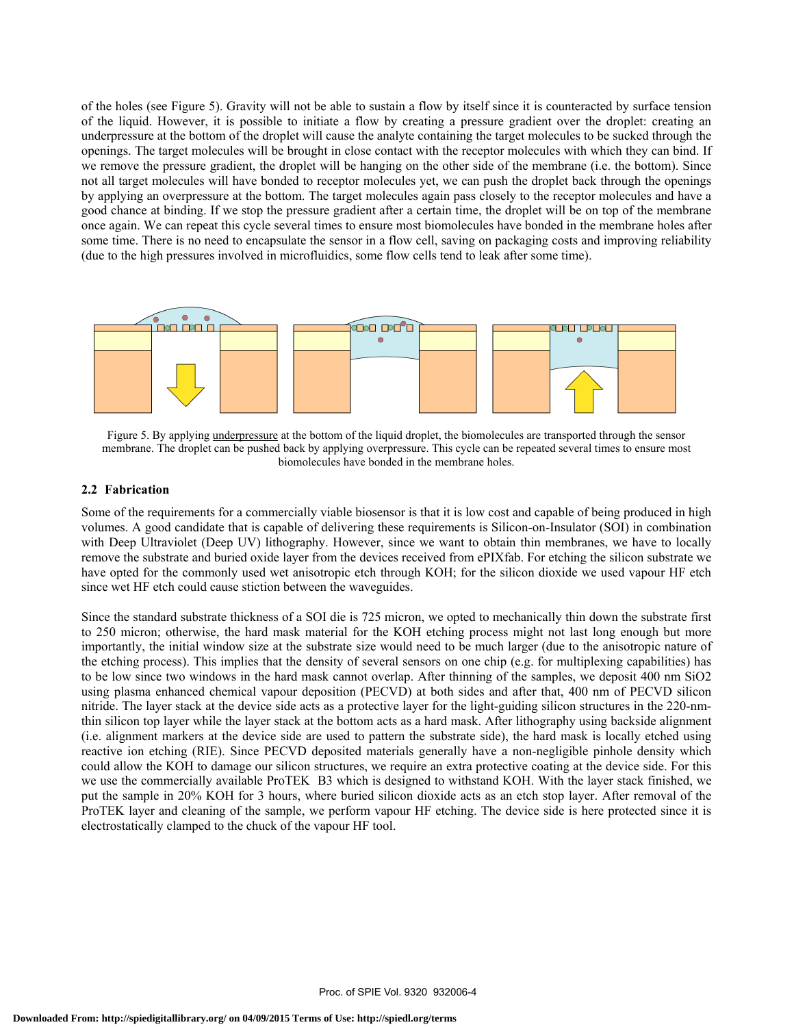of the holes (see Figure 5). Gravity will not be able to sustain a flow by itself since it is counteracted by surface tension of the liquid. However, it is possible to initiate a flow by creating a pressure gradient over the droplet: creating an underpressure at the bottom of the droplet will cause the analyte containing the target molecules to be sucked through the openings. The target molecules will be brought in close contact with the receptor molecules with which they can bind. If we remove the pressure gradient, the droplet will be hanging on the other side of the membrane (i.e. the bottom). Since not all target molecules will have bonded to receptor molecules yet, we can push the droplet back through the openings by applying an overpressure at the bottom. The target molecules again pass closely to the receptor molecules and have a good chance at binding. If we stop the pressure gradient after a certain time, the droplet will be on top of the membrane once again. We can repeat this cycle several times to ensure most biomolecules have bonded in the membrane holes after some time. There is no need to encapsulate the sensor in a flow cell, saving on packaging costs and improving reliability (due to the high pressures involved in microfluidics, some flow cells tend to leak after some time).



Figure 5. By applying underpressure at the bottom of the liquid droplet, the biomolecules are transported through the sensor membrane. The droplet can be pushed back by applying overpressure. This cycle can be repeated several times to ensure most biomolecules have bonded in the membrane holes.

## **2.2 Fabrication**

Some of the requirements for a commercially viable biosensor is that it is low cost and capable of being produced in high volumes. A good candidate that is capable of delivering these requirements is Silicon-on-Insulator (SOI) in combination with Deep Ultraviolet (Deep UV) lithography. However, since we want to obtain thin membranes, we have to locally remove the substrate and buried oxide layer from the devices received from ePIXfab. For etching the silicon substrate we have opted for the commonly used wet anisotropic etch through KOH; for the silicon dioxide we used vapour HF etch since wet HF etch could cause stiction between the waveguides.

Since the standard substrate thickness of a SOI die is 725 micron, we opted to mechanically thin down the substrate first to 250 micron; otherwise, the hard mask material for the KOH etching process might not last long enough but more importantly, the initial window size at the substrate size would need to be much larger (due to the anisotropic nature of the etching process). This implies that the density of several sensors on one chip (e.g. for multiplexing capabilities) has to be low since two windows in the hard mask cannot overlap. After thinning of the samples, we deposit 400 nm SiO2 using plasma enhanced chemical vapour deposition (PECVD) at both sides and after that, 400 nm of PECVD silicon nitride. The layer stack at the device side acts as a protective layer for the light-guiding silicon structures in the 220-nmthin silicon top layer while the layer stack at the bottom acts as a hard mask. After lithography using backside alignment (i.e. alignment markers at the device side are used to pattern the substrate side), the hard mask is locally etched using reactive ion etching (RIE). Since PECVD deposited materials generally have a non-negligible pinhole density which could allow the KOH to damage our silicon structures, we require an extra protective coating at the device side. For this we use the commercially available ProTEK B3 which is designed to withstand KOH. With the layer stack finished, we put the sample in 20% KOH for 3 hours, where buried silicon dioxide acts as an etch stop layer. After removal of the ProTEK layer and cleaning of the sample, we perform vapour HF etching. The device side is here protected since it is electrostatically clamped to the chuck of the vapour HF tool.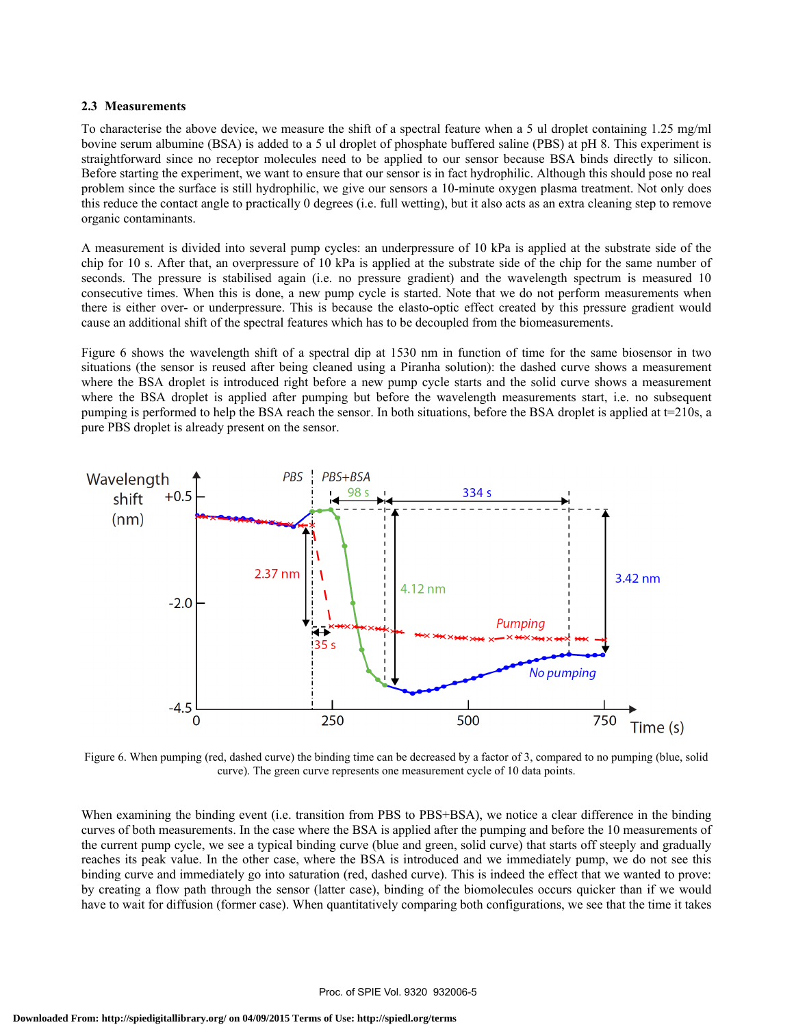## **2.3 Measurements**

To characterise the above device, we measure the shift of a spectral feature when a 5 ul droplet containing 1.25 mg/ml bovine serum albumine (BSA) is added to a 5 ul droplet of phosphate buffered saline (PBS) at pH 8. This experiment is straightforward since no receptor molecules need to be applied to our sensor because BSA binds directly to silicon. Before starting the experiment, we want to ensure that our sensor is in fact hydrophilic. Although this should pose no real problem since the surface is still hydrophilic, we give our sensors a 10-minute oxygen plasma treatment. Not only does this reduce the contact angle to practically 0 degrees (i.e. full wetting), but it also acts as an extra cleaning step to remove organic contaminants.

A measurement is divided into several pump cycles: an underpressure of 10 kPa is applied at the substrate side of the chip for 10 s. After that, an overpressure of 10 kPa is applied at the substrate side of the chip for the same number of seconds. The pressure is stabilised again (i.e. no pressure gradient) and the wavelength spectrum is measured 10 consecutive times. When this is done, a new pump cycle is started. Note that we do not perform measurements when there is either over- or underpressure. This is because the elasto-optic effect created by this pressure gradient would cause an additional shift of the spectral features which has to be decoupled from the biomeasurements.

Figure 6 shows the wavelength shift of a spectral dip at 1530 nm in function of time for the same biosensor in two situations (the sensor is reused after being cleaned using a Piranha solution): the dashed curve shows a measurement where the BSA droplet is introduced right before a new pump cycle starts and the solid curve shows a measurement where the BSA droplet is applied after pumping but before the wavelength measurements start, i.e. no subsequent pumping is performed to help the BSA reach the sensor. In both situations, before the BSA droplet is applied at  $t=210s$ , a pure PBS droplet is already present on the sensor.



Figure 6. When pumping (red, dashed curve) the binding time can be decreased by a factor of 3, compared to no pumping (blue, solid curve). The green curve represents one measurement cycle of 10 data points.

When examining the binding event (i.e. transition from PBS to PBS+BSA), we notice a clear difference in the binding curves of both measurements. In the case where the BSA is applied after the pumping and before the 10 measurements of the current pump cycle, we see a typical binding curve (blue and green, solid curve) that starts off steeply and gradually reaches its peak value. In the other case, where the BSA is introduced and we immediately pump, we do not see this binding curve and immediately go into saturation (red, dashed curve). This is indeed the effect that we wanted to prove: by creating a flow path through the sensor (latter case), binding of the biomolecules occurs quicker than if we would have to wait for diffusion (former case). When quantitatively comparing both configurations, we see that the time it takes